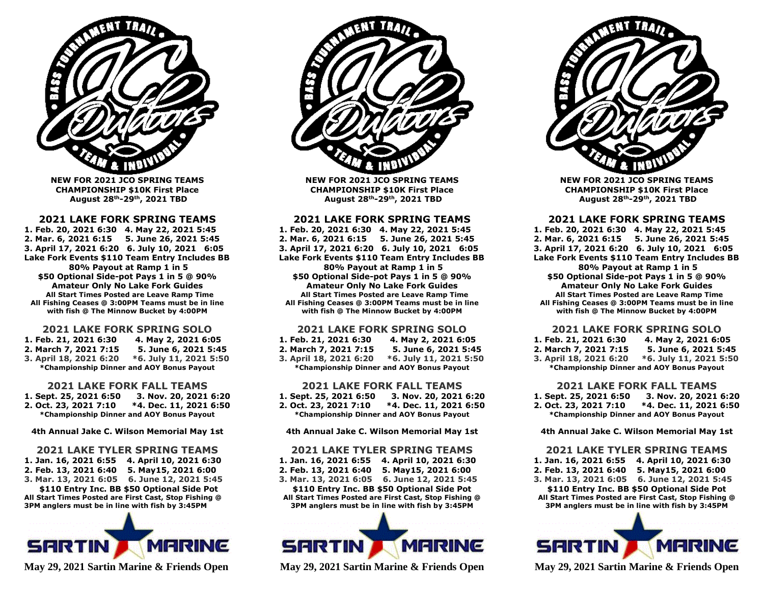

**NEW FOR 2021 JCO SPRING TEAMS CHAMPIONSHIP \$10K First Place August 28th-29th , 2021 TBD**

#### **2021 LAKE FORK SPRING TEAMS**

**1. Feb. 20, 2021 6:30 4. May 22, 2021 5:45 2. Mar. 6, 2021 6:15 5. June 26, 2021 5:45 3. April 17, 2021 6:20 6. July 10, 2021 6:05 Lake Fork Events \$110 Team Entry Includes BB 80% Payout at Ramp 1 in 5 \$50 Optional Side-pot Pays 1 in 5 @ 90% Amateur Only No Lake Fork Guides All Start Times Posted are Leave Ramp Time All Fishing Ceases @ 3:00PM Teams must be in line with fish @ The Minnow Bucket by 4:00PM**

#### **2021 LAKE FORK SPRING SOLO**

**1. Feb. 21, 2021 6:30 4. May 2, 2021 6:05 2. March 7, 2021 7:15 5. June 6, 2021 5:45 3. April 18, 2021 6:20 \*6. July 11, 2021 5:50 \*Championship Dinner and AOY Bonus Payout**

#### **2021 LAKE FORK FALL TEAMS**

**1. Sept. 25, 2021 6:50 3. Nov. 20, 2021 6:20 2. Oct. 23, 2021 7:10 \*4. Dec. 11, 2021 6:50 \*Championship Dinner and AOY Bonus Payout**

**4th Annual Jake C. Wilson Memorial May 1st**

#### **2021 LAKE TYLER SPRING TEAMS**

**1. Jan. 16, 2021 6:55 4. April 10, 2021 6:30 2. Feb. 13, 2021 6:40 5. May15, 2021 6:00 3. Mar. 13, 2021 6:05 6. June 12, 2021 5:45 \$110 Entry Inc. BB \$50 Optional Side Pot All Start Times Posted are First Cast, Stop Fishing @ 3PM anglers must be in line with fish by 3:45PM**



**May 29, 2021 Sartin Marine & Friends Open**



**NEW FOR 2021 JCO SPRING TEAMS CHAMPIONSHIP \$10K First Place August 28th-29th , 2021 TBD**

#### **2021 LAKE FORK SPRING TEAMS**

**1. Feb. 20, 2021 6:30 4. May 22, 2021 5:45 2. Mar. 6, 2021 6:15 5. June 26, 2021 5:45 3. April 17, 2021 6:20 6. July 10, 2021 6:05 Lake Fork Events \$110 Team Entry Includes BB 80% Payout at Ramp 1 in 5 \$50 Optional Side-pot Pays 1 in 5 @ 90% Amateur Only No Lake Fork Guides All Start Times Posted are Leave Ramp Time All Fishing Ceases @ 3:00PM Teams must be in line with fish @ The Minnow Bucket by 4:00PM**

#### **2021 LAKE FORK SPRING SOLO**

**1. Feb. 21, 2021 6:30 4. May 2, 2021 6:05 2. March 7, 2021 7:15 5. June 6, 2021 5:45 3. April 18, 2021 6:20 \*6. July 11, 2021 5:50 \*Championship Dinner and AOY Bonus Payout**

#### **2021 LAKE FORK FALL TEAMS**

**1. Sept. 25, 2021 6:50 3. Nov. 20, 2021 6:20 2. Oct. 23, 2021 7:10 \*4. Dec. 11, 2021 6:50 \*Championship Dinner and AOY Bonus Payout**

#### **4th Annual Jake C. Wilson Memorial May 1st**

#### **2021 LAKE TYLER SPRING TEAMS**

**1. Jan. 16, 2021 6:55 4. April 10, 2021 6:30 2. Feb. 13, 2021 6:40 5. May15, 2021 6:00 3. Mar. 13, 2021 6:05 6. June 12, 2021 5:45 \$110 Entry Inc. BB \$50 Optional Side Pot All Start Times Posted are First Cast, Stop Fishing @ 3PM anglers must be in line with fish by 3:45PM**



**May 29, 2021 Sartin Marine & Friends Open**



**NEW FOR 2021 JCO SPRING TEAMS CHAMPIONSHIP \$10K First Place August 28th-29th , 2021 TBD**

#### **2021 LAKE FORK SPRING TEAMS**

**1. Feb. 20, 2021 6:30 4. May 22, 2021 5:45 2. Mar. 6, 2021 6:15 5. June 26, 2021 5:45 3. April 17, 2021 6:20 6. July 10, 2021 6:05 Lake Fork Events \$110 Team Entry Includes BB 80% Payout at Ramp 1 in 5 \$50 Optional Side-pot Pays 1 in 5 @ 90% Amateur Only No Lake Fork Guides All Start Times Posted are Leave Ramp Time All Fishing Ceases @ 3:00PM Teams must be in line with fish @ The Minnow Bucket by 4:00PM**

#### **2021 LAKE FORK SPRING SOLO**

**1. Feb. 21, 2021 6:30 4. May 2, 2021 6:05 2. March 7, 2021 7:15 5. June 6, 2021 5:45 3. April 18, 2021 6:20 \*6. July 11, 2021 5:50 \*Championship Dinner and AOY Bonus Payout**

#### **2021 LAKE FORK FALL TEAMS**

**1. Sept. 25, 2021 6:50 3. Nov. 20, 2021 6:20 2. Oct. 23, 2021 7:10 \*4. Dec. 11, 2021 6:50 \*Championship Dinner and AOY Bonus Payout**

**4th Annual Jake C. Wilson Memorial May 1st**

#### **2021 LAKE TYLER SPRING TEAMS**

**1. Jan. 16, 2021 6:55 4. April 10, 2021 6:30 2. Feb. 13, 2021 6:40 5. May15, 2021 6:00 3. Mar. 13, 2021 6:05 6. June 12, 2021 5:45 \$110 Entry Inc. BB \$50 Optional Side Pot**

**All Start Times Posted are First Cast, Stop Fishing @ 3PM anglers must be in line with fish by 3:45PM**



**May 29, 2021 Sartin Marine & Friends Open**